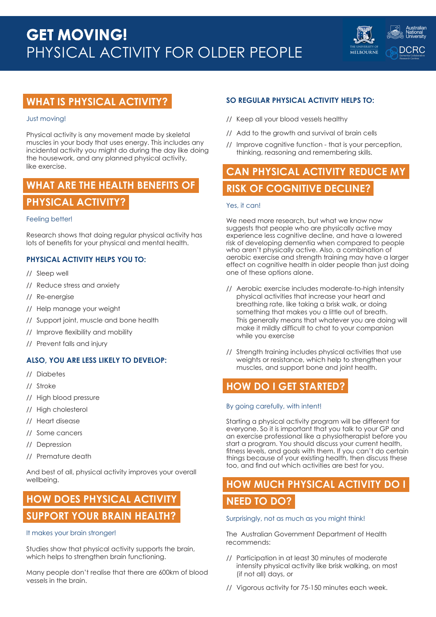

## **WHAT IS PHYSICAL ACTIVITY?**

### Just moving!

Physical activity is any movement made by skeletal muscles in your body that uses energy. This includes any incidental activity you might do during the day like doing the housework, and any planned physical activity, like exercise.

# **WHAT ARE THE HEALTH BENEFITS OF PHYSICAL ACTIVITY?**

### Feeling better!

Research shows that doing regular physical activity has lots of benefits for your physical and mental health.

### **PHYSICAL ACTIVITY HELPS YOU TO:**

- // Sleep well
- // Reduce stress and anxiety
- // Re-energise
- // Help manage your weight
- // Support joint, muscle and bone health
- // Improve flexibility and mobility
- // Prevent falls and injury

### **ALSO, YOU ARE LESS LIKELY TO DEVELOP:**

- // Diabetes
- // Stroke
- // High blood pressure
- // High cholesterol
- // Heart disease
- // Some cancers
- // Depression
- // Premature death

And best of all, physical activity improves your overall wellbeing.

# **HOW DOES PHYSICAL ACTIVITY SUPPORT YOUR BRAIN HEALTH?**

### It makes your brain stronger!

Studies show that physical activity supports the brain, which helps to strengthen brain functioning.

Many people don't realise that there are 600km of blood vessels in the brain.

### **SO REGULAR PHYSICAL ACTIVITY HELPS TO:**

- // Keep all your blood vessels healthy
- // Add to the growth and survival of brain cells
- // Improve cognitive function that is your perception, thinking, reasoning and remembering skills.

# **CAN PHYSICAL ACTIVITY REDUCE MY RISK OF COGNITIVE DECLINE?**

### Yes, it can!

We need more research, but what we know now suggests that people who are physically active may experience less cognitive decline, and have a lowered risk of developing dementia when compared to people who aren't physically active. Also, a combination of aerobic exercise and strength training may have a larger effect on cognitive health in older people than just doing one of these options alone.

- // Aerobic exercise includes moderate-to-high intensity physical activities that increase your heart and breathing rate, like taking a brisk walk, or doing something that makes you a little out of breath. This generally means that whatever you are doing will make it mildly difficult to chat to your companion while you exercise
- // Strength training includes physical activities that use weights or resistance, which help to strengthen your muscles, and support bone and joint health.

### **HOW DO I GET STARTED?**

### By going carefully, with intent!

Starting a physical activity program will be different for everyone. So it is important that you talk to your GP and an exercise professional like a physiotherapist before you start a program. You should discuss your current health, fitness levels, and goals with them. If you can't do certain things because of your existing health, then discuss these too, and find out which activities are best for you.

# **HOW MUCH PHYSICAL ACTIVITY DO I NEED TO DO?**

### Surprisingly, not as much as you might think!

The Australian Government Department of Health recommends:

- // Participation in at least 30 minutes of moderate intensity physical activity like brisk walking, on most (if not all) days, or
- // Vigorous activity for 75-150 minutes each week.